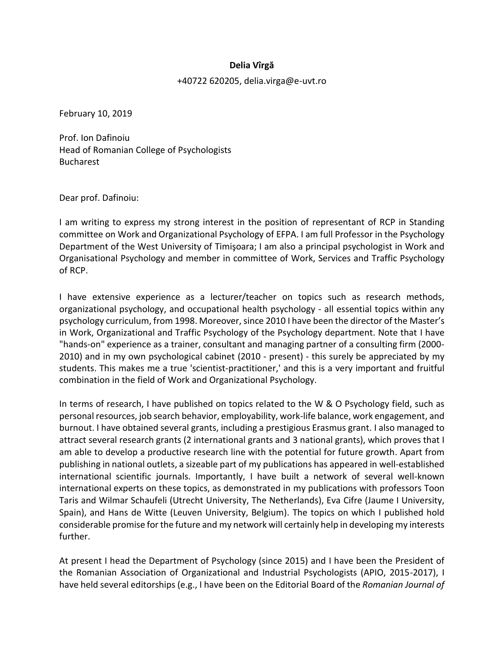## **Delia Vîrgă**

+40722 620205, delia.virga@e-uvt.ro

February 10, 2019

Prof. Ion Dafinoiu Head of Romanian College of Psychologists Bucharest

Dear prof. Dafinoiu:

I am writing to express my strong interest in the position of representant of RCP in Standing committee on Work and Organizational Psychology of EFPA. I am full Professor in the Psychology Department of the West University of Timişoara; I am also a principal psychologist in Work and Organisational Psychology and member in committee of Work, Services and Traffic Psychology of RCP.

I have extensive experience as a lecturer/teacher on topics such as research methods, organizational psychology, and occupational health psychology - all essential topics within any psychology curriculum, from 1998. Moreover, since 2010 I have been the director of the Master's in Work, Organizational and Traffic Psychology of the Psychology department. Note that I have "hands-on" experience as a trainer, consultant and managing partner of a consulting firm (2000- 2010) and in my own psychological cabinet (2010 - present) - this surely be appreciated by my students. This makes me a true 'scientist-practitioner,' and this is a very important and fruitful combination in the field of Work and Organizational Psychology.

In terms of research, I have published on topics related to the W & O Psychology field, such as personal resources, job search behavior, employability, work-life balance, work engagement, and burnout. I have obtained several grants, including a prestigious Erasmus grant. I also managed to attract several research grants (2 international grants and 3 national grants), which proves that I am able to develop a productive research line with the potential for future growth. Apart from publishing in national outlets, a sizeable part of my publications has appeared in well-established international scientific journals. Importantly, I have built a network of several well-known international experts on these topics, as demonstrated in my publications with professors Toon Taris and Wilmar Schaufeli (Utrecht University, The Netherlands), Eva Cifre (Jaume I University, Spain), and Hans de Witte (Leuven University, Belgium). The topics on which I published hold considerable promise for the future and my network will certainly help in developing my interests further.

At present I head the Department of Psychology (since 2015) and I have been the President of the Romanian Association of Organizational and Industrial Psychologists (APIO, 2015-2017), I have held several editorships (e.g., I have been on the Editorial Board of the *Romanian Journal of*